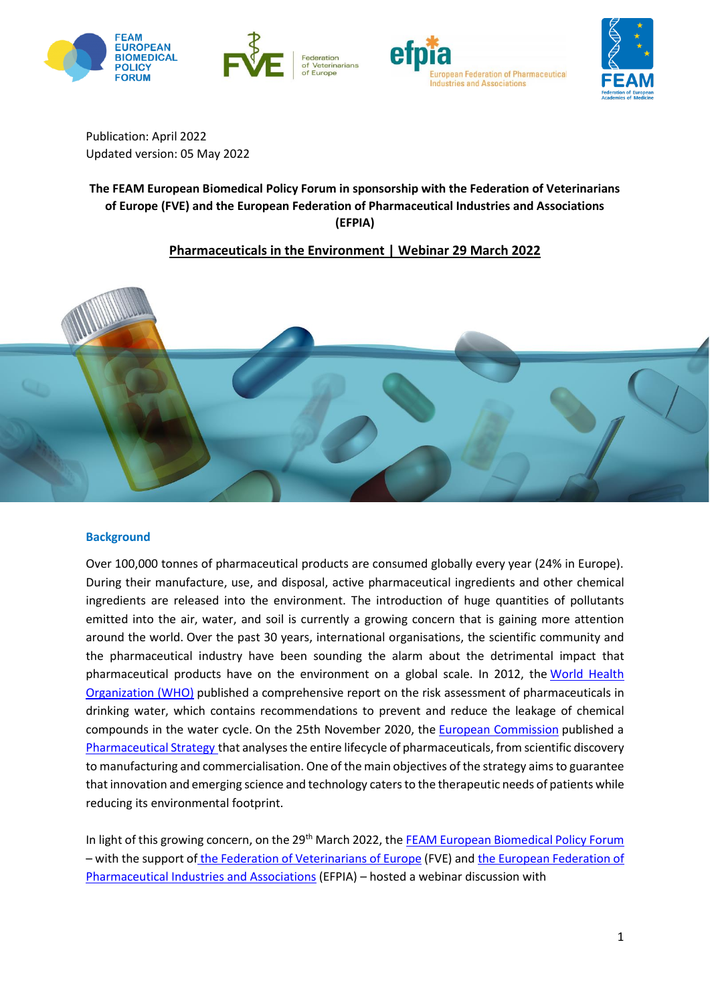







Publication: April 2022 Updated version: 05 May 2022

# **The FEAM European Biomedical Policy Forum in sponsorship with the Federation of Veterinarians of Europe (FVE) and the European Federation of Pharmaceutical Industries and Associations (EFPIA)**

## **Pharmaceuticals in the Environment | Webinar 29 March 2022**



## **Background**

Over 100,000 tonnes of pharmaceutical products are consumed globally every year (24% in Europe). During their manufacture, use, and disposal, active pharmaceutical ingredients and other chemical ingredients are released into the environment. The introduction of huge quantities of pollutants emitted into the air, water, and soil is currently a growing concern that is gaining more attention around the world. Over the past 30 years, international organisations, the scientific community and the pharmaceutical industry have been sounding the alarm about the detrimental impact that pharmaceutical products have on the environment on a global scale. In 2012, the World [Health](https://www.who.int/) [Organization](https://www.who.int/) (WHO) published a comprehensive report on the risk assessment of pharmaceuticals in drinking water, which contains recommendations to prevent and reduce the leakage of chemical compounds in the water cycle. On the 25th November 2020, the European [Commission](https://european-union.europa.eu/institutions-law-budget/institutions-and-bodies/institutions-and-bodies-profiles/european-commission_en) published a [Pharmaceutical](https://ec.europa.eu/health/medicinal-products/pharmaceutical-strategy-europe_en) Strategy that analysesthe entire lifecycle of pharmaceuticals, from scientific discovery to manufacturing and commercialisation. One of the main objectives of the strategy aimsto guarantee that innovation and emerging science and technology catersto the therapeutic needs of patients while reducing its environmental footprint.

In light of this growing concern, on the 29<sup>th</sup> March 2022, the FEAM European [Biomedical](https://www.feam.eu/policy-priorities-2/forum/) Policy Forum – with the support of [the Federation of Veterinarians of Europe](https://fve.org/) (FVE) an[d the European Federation of](https://www.efpia.eu/about-medicines/development-of-medicines/regulations-safety-supply/environment-health-safety-and-sustainability/)  [Pharmaceutical Industries and Associations](https://www.efpia.eu/about-medicines/development-of-medicines/regulations-safety-supply/environment-health-safety-and-sustainability/) (EFPIA) – hosted a webinar discussion with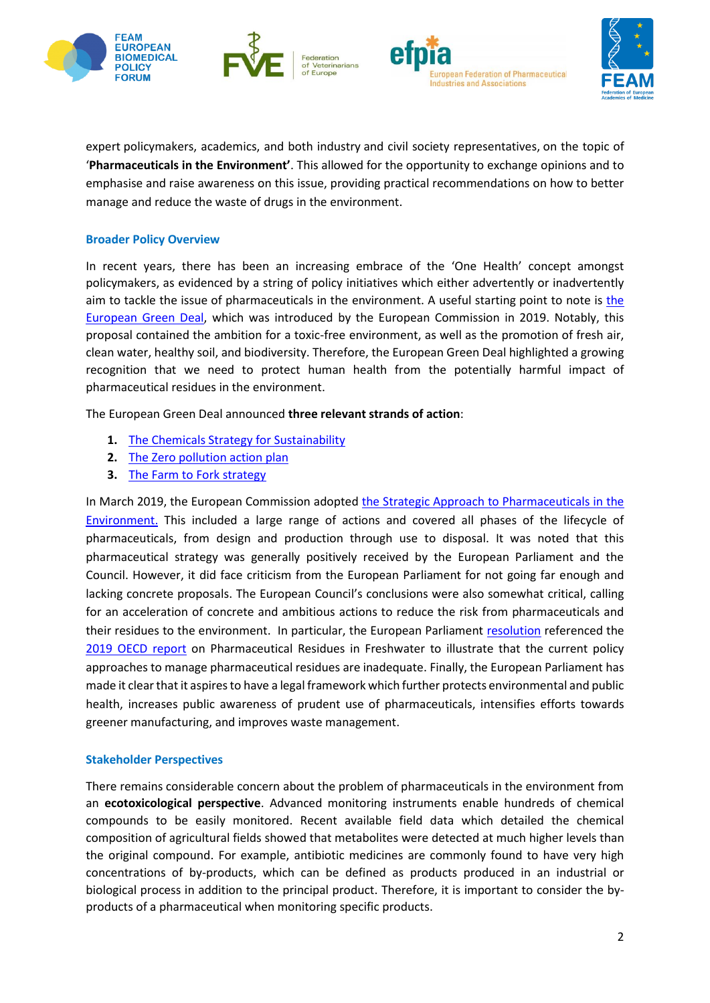







expert policymakers, academics, and both industry and civil society representatives, on the topic of '**Pharmaceuticals in the Environment'**. This allowed for the opportunity to exchange opinions and to emphasise and raise awareness on this issue, providing practical recommendations on how to better manage and reduce the waste of drugs in the environment.

## **Broader Policy Overview**

In recent years, there has been an increasing embrace of the 'One Health' concept amongst policymakers, as evidenced by a string of policy initiatives which either advertently or inadvertently aim to tackle the issue of pharmaceuticals in the environment. A useful starting point to note is [the](https://ec.europa.eu/info/strategy/priorities-2019-2024/european-green-deal_en#:~:text=%20The%20European%20Green%20Deal%20will%20improve%20the,affordable%20food%204%20more%20public%20transport%20More%20)  [European Green Deal,](https://ec.europa.eu/info/strategy/priorities-2019-2024/european-green-deal_en#:~:text=%20The%20European%20Green%20Deal%20will%20improve%20the,affordable%20food%204%20more%20public%20transport%20More%20) which was introduced by the European Commission in 2019. Notably, this proposal contained the ambition for a toxic-free environment, as well as the promotion of fresh air, clean water, healthy soil, and biodiversity. Therefore, the European Green Deal highlighted a growing recognition that we need to protect human health from the potentially harmful impact of pharmaceutical residues in the environment.

The European Green Deal announced **three relevant strands of action**:

- **1.** [The Chemicals Strategy for Sustainability](https://echa.europa.eu/hot-topics/chemicals-strategy-for-sustainability)
- **2.** [The Zero pollution action plan](https://ec.europa.eu/environment/strategy/zero-pollution-action-plan_en)
- **3.** The [Farm to Fork strategy](https://ec.europa.eu/food/horizontal-topics/farm-fork-strategy_en)

In March 2019, the European Commission adopted the Strategic Approach to [Pharmaceuticals](https://ec.europa.eu/health/medicinal-products/pharmaceutical-strategy-europe_en) in the [Environment.](https://ec.europa.eu/health/medicinal-products/pharmaceutical-strategy-europe_en) This included a large range of actions and covered all phases of the lifecycle of pharmaceuticals, from design and production through use to disposal. It was noted that this pharmaceutical strategy was generally positively received by the European Parliament and the Council. However, it did face criticism from the European Parliament for not going far enough and lacking concrete proposals. The European Council's conclusions were also somewhat critical, calling for an acceleration of concrete and ambitious actions to reduce the risk from pharmaceuticals and their residues to the environment. In particular, the European Parliament [resolution](https://eur-lex.europa.eu/legal-content/EN/TXT/?uri=CELEX%3A52020IP0226) referenced the [2019 OECD report](https://www.oecd.org/environment/resources/Pharmaceuticals-residues-in-freshwater-policy-highlights-preliminary-version.pdf) on Pharmaceutical Residues in Freshwater to illustrate that the current policy approaches to manage pharmaceutical residues are inadequate. Finally, the European Parliament has made it clear that it aspires to have a legal framework which further protects environmental and public health, increases public awareness of prudent use of pharmaceuticals, intensifies efforts towards greener manufacturing, and improves waste management.

### **Stakeholder Perspectives**

There remains considerable concern about the problem of pharmaceuticals in the environment from an **ecotoxicological perspective**. Advanced monitoring instruments enable hundreds of chemical compounds to be easily monitored. Recent available field data which detailed the chemical composition of agricultural fields showed that metabolites were detected at much higher levels than the original compound. For example, antibiotic medicines are commonly found to have very high concentrations of by-products, which can be defined as products produced in an industrial or biological process in addition to the principal product. Therefore, it is important to consider the byproducts of a pharmaceutical when monitoring specific products.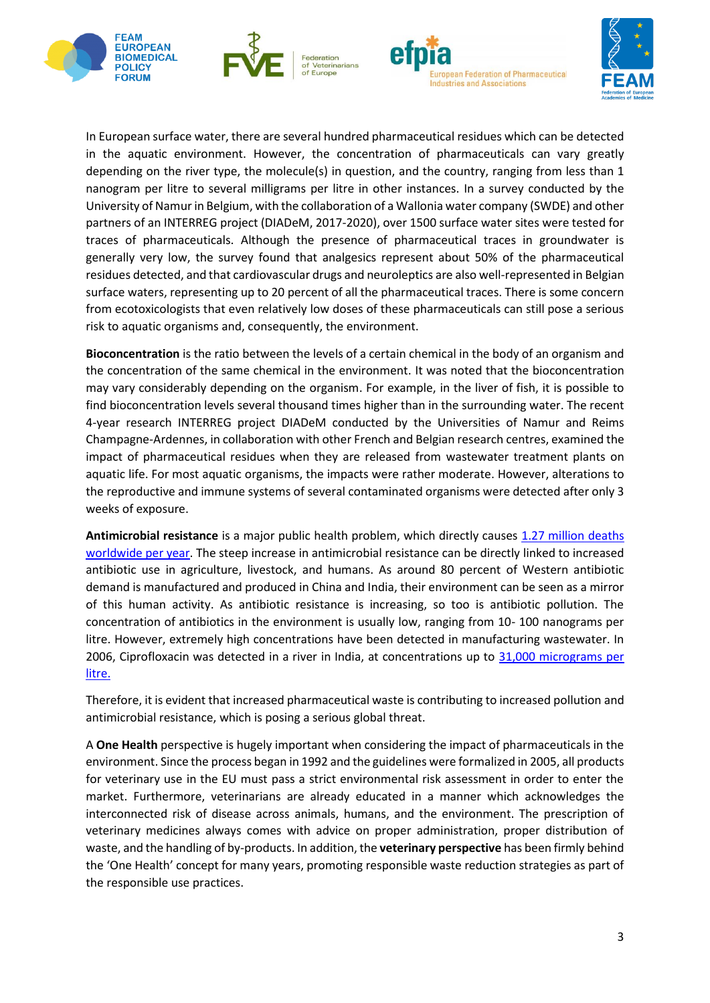







In European surface water, there are several hundred pharmaceutical residues which can be detected in the aquatic environment. However, the concentration of pharmaceuticals can vary greatly depending on the river type, the molecule(s) in question, and the country, ranging from less than 1 nanogram per litre to several milligrams per litre in other instances. In a survey conducted by the University of Namur in Belgium, with the collaboration of a Wallonia water company (SWDE) and other partners of an INTERREG project (DIADeM, 2017-2020), over 1500 surface water sites were tested for traces of pharmaceuticals. Although the presence of pharmaceutical traces in groundwater is generally very low, the survey found that analgesics represent about 50% of the pharmaceutical residues detected, and that cardiovascular drugs and neuroleptics are also well-represented in Belgian surface waters, representing up to 20 percent of all the pharmaceutical traces. There is some concern from ecotoxicologists that even relatively low doses of these pharmaceuticals can still pose a serious risk to aquatic organisms and, consequently, the environment.

**Bioconcentration** is the ratio between the levels of a certain chemical in the body of an organism and the concentration of the same chemical in the environment. It was noted that the bioconcentration may vary considerably depending on the organism. For example, in the liver of fish, it is possible to find bioconcentration levels several thousand times higher than in the surrounding water. The recent 4-year research INTERREG project DIADeM conducted by the Universities of Namur and Reims Champagne-Ardennes, in collaboration with other French and Belgian research centres, examined the impact of pharmaceutical residues when they are released from wastewater treatment plants on aquatic life. For most aquatic organisms, the impacts were rather moderate. However, alterations to the reproductive and immune systems of several contaminated organisms were detected after only 3 weeks of exposure.

**Antimicrobial resistance** is a major public health problem, which directly causes [1.27 million deaths](https://www.thelancet.com/journals/lancet/article/PIIS0140-6736(21)02724-0/fulltext)  [worldwide per year.](https://www.thelancet.com/journals/lancet/article/PIIS0140-6736(21)02724-0/fulltext) The steep increase in antimicrobial resistance can be directly linked to increased antibiotic use in agriculture, livestock, and humans. As around 80 percent of Western antibiotic demand is manufactured and produced in China and India, their environment can be seen as a mirror of this human activity. As antibiotic resistance is increasing, so too is antibiotic pollution. The concentration of antibiotics in the environment is usually low, ranging from 10- 100 nanograms per litre. However, extremely high concentrations have been detected in manufacturing wastewater. In 2006, Ciprofloxacin was detected in a river in India, at concentrations up to [31,000 micrograms](https://www.researchgate.net/publication/6134174_Effluent_From_Drug_Manufactures_Contains_Extremely_High_Levels_of_Pharmaceuticals) per [litre.](https://www.researchgate.net/publication/6134174_Effluent_From_Drug_Manufactures_Contains_Extremely_High_Levels_of_Pharmaceuticals)

Therefore, it is evident that increased pharmaceutical waste is contributing to increased pollution and antimicrobial resistance, which is posing a serious global threat.

A **One Health** perspective is hugely important when considering the impact of pharmaceuticals in the environment. Since the process began in 1992 and the guidelines were formalized in 2005, all products for veterinary use in the EU must pass a strict environmental risk assessment in order to enter the market. Furthermore, veterinarians are already educated in a manner which acknowledges the interconnected risk of disease across animals, humans, and the environment. The prescription of veterinary medicines always comes with advice on proper administration, proper distribution of waste, and the handling of by-products. In addition, the **veterinary perspective** has been firmly behind the 'One Health' concept for many years, promoting responsible waste reduction strategies as part of the responsible use practices.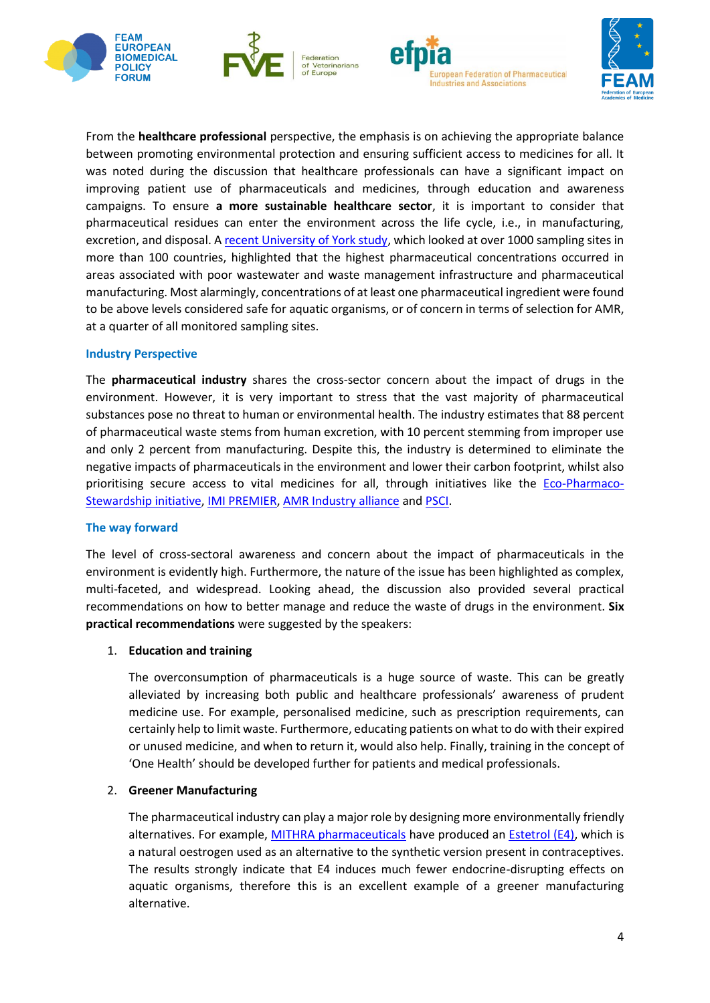







From the **healthcare professional** perspective, the emphasis is on achieving the appropriate balance between promoting environmental protection and ensuring sufficient access to medicines for all. It was noted during the discussion that healthcare professionals can have a significant impact on improving patient use of pharmaceuticals and medicines, through education and awareness campaigns. To ensure **a more sustainable healthcare sector**, it is important to consider that pharmaceutical residues can enter the environment across the life cycle, i.e., in manufacturing, excretion, and disposal. [A recent University of York study,](https://www.researchgate.net/publication/358785477_Pharmaceutical_pollution_of_the_world) which looked at over 1000 sampling sites in more than 100 countries, highlighted that the highest pharmaceutical concentrations occurred in areas associated with poor wastewater and waste management infrastructure and pharmaceutical manufacturing. Most alarmingly, concentrations of at least one pharmaceutical ingredient were found to be above levels considered safe for aquatic organisms, or of concern in terms of selection for AMR, at a quarter of all monitored sampling sites.

## **Industry Perspective**

The **pharmaceutical industry** shares the cross-sector concern about the impact of drugs in the environment. However, it is very important to stress that the vast majority of pharmaceutical substances pose no threat to human or environmental health. The industry estimates that 88 percent of pharmaceutical waste stems from human excretion, with 10 percent stemming from improper use and only 2 percent from manufacturing. Despite this, the industry is determined to eliminate the negative impacts of pharmaceuticals in the environment and lower their carbon footprint, whilst also prioritising secure access to vital medicines for all, through initiatives like the [Eco-Pharmaco-](https://www.efpia.eu/media/636524/efpia-eps-brochure_care-for-people-our-environment.pdf)[Stewardship initiative,](https://www.efpia.eu/media/636524/efpia-eps-brochure_care-for-people-our-environment.pdf) [IMI PREMIER,](https://imi-premier.eu/) [AMR Industry alliance](https://www.amrindustryalliance.org/) an[d PSCI.](https://pscinitiative.org/home)

### **The way forward**

The level of cross-sectoral awareness and concern about the impact of pharmaceuticals in the environment is evidently high. Furthermore, the nature of the issue has been highlighted as complex, multi-faceted, and widespread. Looking ahead, the discussion also provided several practical recommendations on how to better manage and reduce the waste of drugs in the environment. **Six practical recommendations** were suggested by the speakers:

### 1. **Education and training**

The overconsumption of pharmaceuticals is a huge source of waste. This can be greatly alleviated by increasing both public and healthcare professionals' awareness of prudent medicine use. For example, personalised medicine, such as prescription requirements, can certainly help to limit waste. Furthermore, educating patients on what to do with their expired or unused medicine, and when to return it, would also help. Finally, training in the concept of 'One Health' should be developed further for patients and medical professionals.

### 2. **Greener Manufacturing**

The pharmaceutical industry can play a major role by designing more environmentally friendly alternatives. For example, [MITHRA pharmaceuticals](https://www.mithra.com/en/home) have produced a[n Estetrol \(E4\),](https://www.mithra.com/en/estetrol) which is a natural oestrogen used as an alternative to the synthetic version present in contraceptives. The results strongly indicate that E4 induces much fewer endocrine-disrupting effects on aquatic organisms, therefore this is an excellent example of a greener manufacturing alternative.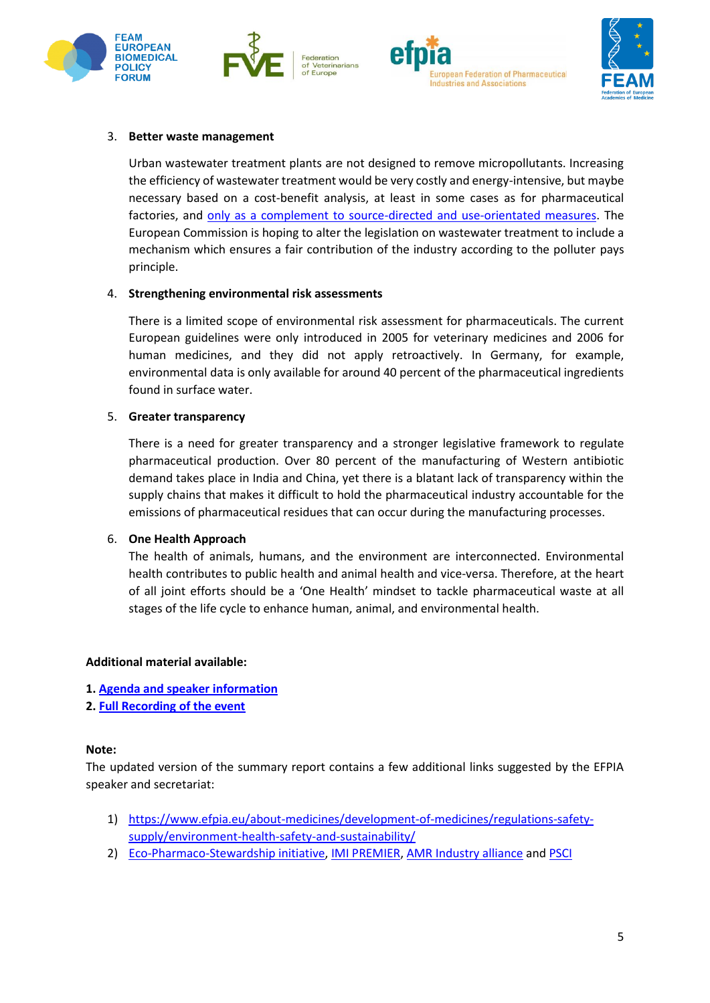







## 3. **Better waste management**

Urban wastewater treatment plants are not designed to remove micropollutants. Increasing the efficiency of wastewater treatment would be very costly and energy-intensive, but maybe necessary based on a cost-benefit analysis, at least in some cases as for pharmaceutical factories, and [only as a complement to source-directed and use-orientated measures.](https://www.oecd.org/environment/resources/pharmaceutical-residues-in-freshwater-policy-highlights.pdf) The European Commission is hoping to alter the legislation on wastewater treatment to include a mechanism which ensures a fair contribution of the industry according to the polluter pays principle.

## 4. **Strengthening environmental risk assessments**

There is a limited scope of environmental risk assessment for pharmaceuticals. The current European guidelines were only introduced in 2005 for veterinary medicines and 2006 for human medicines, and they did not apply retroactively. In Germany, for example, environmental data is only available for around 40 percent of the pharmaceutical ingredients found in surface water.

### 5. **Greater transparency**

There is a need for greater transparency and a stronger legislative framework to regulate pharmaceutical production. Over 80 percent of the manufacturing of Western antibiotic demand takes place in India and China, yet there is a blatant lack of transparency within the supply chains that makes it difficult to hold the pharmaceutical industry accountable for the emissions of pharmaceutical residues that can occur during the manufacturing processes.

### 6. **One Health Approach**

The health of animals, humans, and the environment are interconnected. Environmental health contributes to public health and animal health and vice-versa. Therefore, at the heart of all joint efforts should be a 'One Health' mindset to tackle pharmaceutical waste at all stages of the life cycle to enhance human, animal, and environmental health.

### **Additional material available:**

- **1. [Agenda and speaker information](https://www.feam.eu/events/pharmaceuticals-in-the-environment-29-march-2022-13-00-15-00-cet-online-event/)**
- **2. [Full Recording of the event](https://www.youtube.com/watch?v=kz2KsJSHlUg)**

### **Note:**

The updated version of the summary report contains a few additional links suggested by the EFPIA speaker and secretariat:

- 1) [https://www.efpia.eu/about-medicines/development-of-medicines/regulations-safety](https://www.efpia.eu/about-medicines/development-of-medicines/regulations-safety-supply/environment-health-safety-and-sustainability/)[supply/environment-health-safety-and-sustainability/](https://www.efpia.eu/about-medicines/development-of-medicines/regulations-safety-supply/environment-health-safety-and-sustainability/)
- 2) [Eco-Pharmaco-Stewardship initiative,](https://www.efpia.eu/media/636524/efpia-eps-brochure_care-for-people-our-environment.pdf) [IMI PREMIER,](https://imi-premier.eu/) [AMR Industry alliance](https://www.amrindustryalliance.org/) an[d PSCI](https://pscinitiative.org/home)